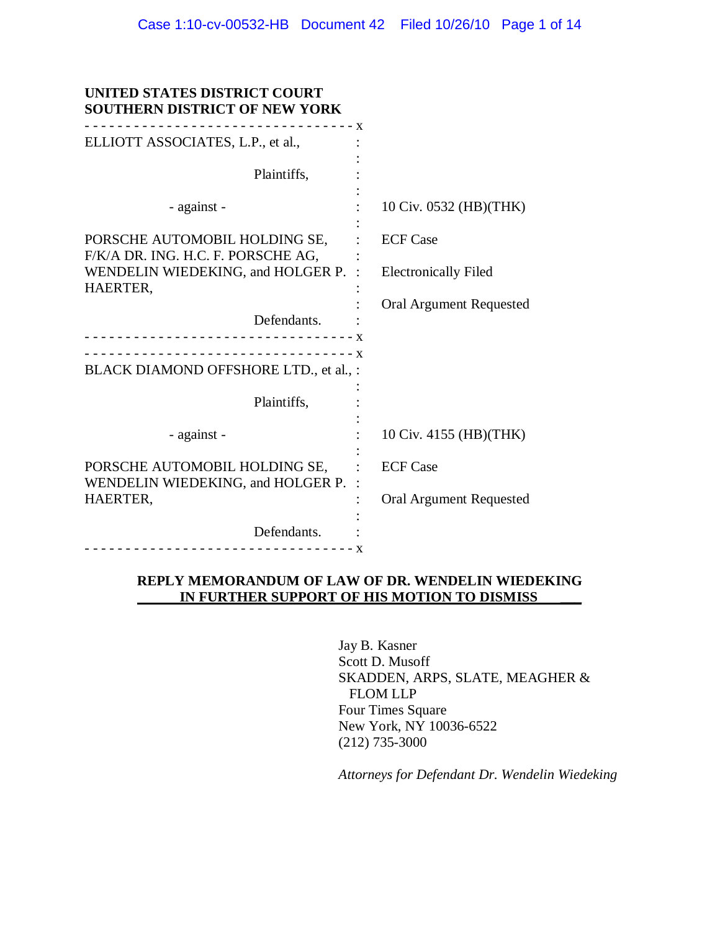| UNITED STATES DISTRICT COURT<br>SOUTHERN DISTRICT OF NEW YORK       |                                |
|---------------------------------------------------------------------|--------------------------------|
| ELLIOTT ASSOCIATES, L.P., et al.,                                   |                                |
| Plaintiffs,                                                         |                                |
| - against -                                                         | 10 Civ. 0532 (HB)(THK)         |
| PORSCHE AUTOMOBIL HOLDING SE,<br>F/K/A DR. ING. H.C. F. PORSCHE AG, | <b>ECF</b> Case                |
| WENDELIN WIEDEKING, and HOLGER P. :<br>HAERTER,                     | <b>Electronically Filed</b>    |
| Defendants.                                                         | <b>Oral Argument Requested</b> |
| BLACK DIAMOND OFFSHORE LTD., et al., :                              |                                |
| Plaintiffs,                                                         |                                |
| - against -                                                         | 10 Civ. 4155 (HB) (THK)        |
| PORSCHE AUTOMOBIL HOLDING SE,<br>WENDELIN WIEDEKING, and HOLGER P.  | <b>ECF Case</b>                |
| HAERTER,<br>Defendants.                                             | <b>Oral Argument Requested</b> |
|                                                                     |                                |

## **REPLY MEMORANDUM OF LAW OF DR. WENDELIN WIEDEKING IN FURTHER SUPPORT OF HIS MOTION TO DISMISS \_\_\_**

Jay B. Kasner Scott D. Musoff SKADDEN, ARPS, SLATE, MEAGHER & FLOM LLP Four Times Square New York, NY 10036-6522 (212) 735-3000

*Attorneys for Defendant Dr. Wendelin Wiedeking*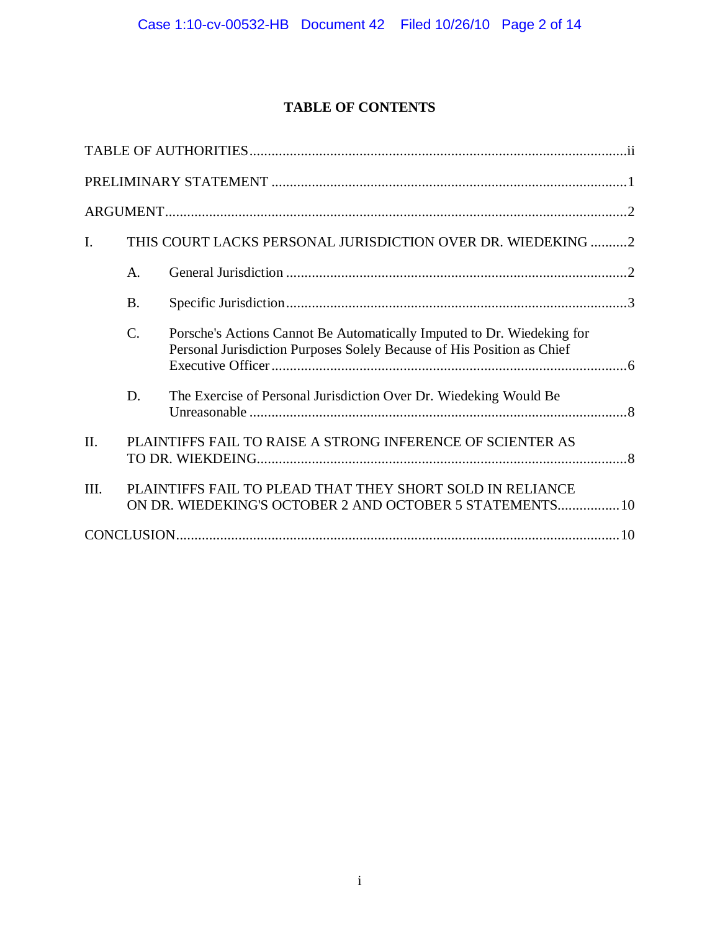# **TABLE OF CONTENTS**

| $\mathbf{I}$ . |                 | THIS COURT LACKS PERSONAL JURISDICTION OVER DR. WIEDEKING 2                                                                                      |
|----------------|-----------------|--------------------------------------------------------------------------------------------------------------------------------------------------|
|                | A.              |                                                                                                                                                  |
|                | <b>B.</b>       |                                                                                                                                                  |
|                | $\mathcal{C}$ . | Porsche's Actions Cannot Be Automatically Imputed to Dr. Wiedeking for<br>Personal Jurisdiction Purposes Solely Because of His Position as Chief |
|                | D.              | The Exercise of Personal Jurisdiction Over Dr. Wiedeking Would Be                                                                                |
| II.            |                 | PLAINTIFFS FAIL TO RAISE A STRONG INFERENCE OF SCIENTER AS                                                                                       |
| III.           |                 | PLAINTIFFS FAIL TO PLEAD THAT THEY SHORT SOLD IN RELIANCE<br>ON DR. WIEDEKING'S OCTOBER 2 AND OCTOBER 5 STATEMENTS 10                            |
|                |                 |                                                                                                                                                  |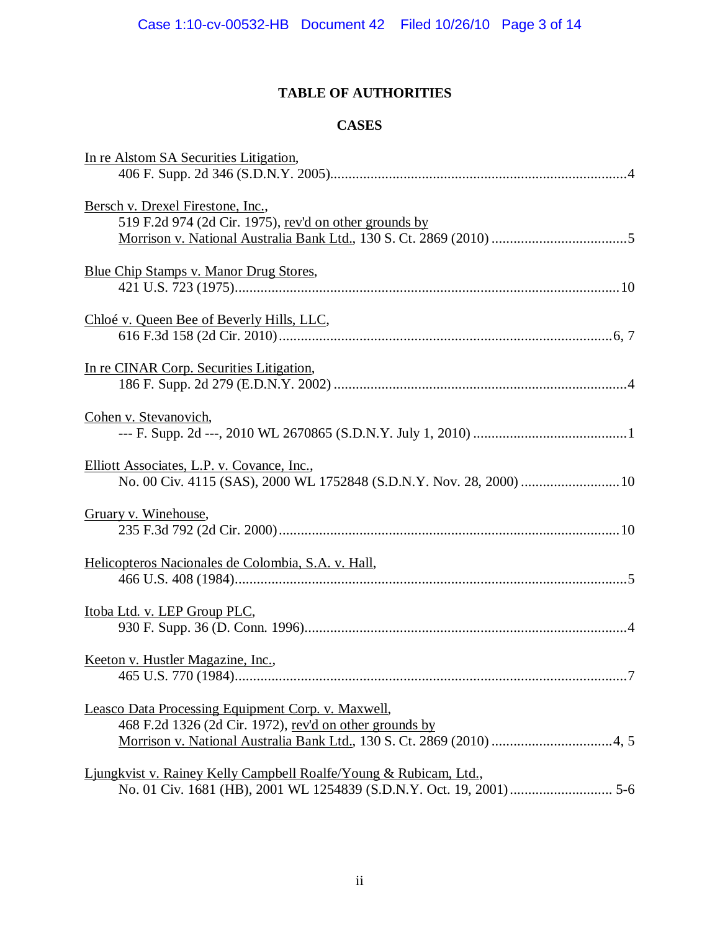# **TABLE OF AUTHORITIES**

# **CASES**

| In re Alstom SA Securities Litigation,                                                                             |
|--------------------------------------------------------------------------------------------------------------------|
| Bersch v. Drexel Firestone, Inc.,<br>519 F.2d 974 (2d Cir. 1975), rev'd on other grounds by                        |
| <b>Blue Chip Stamps v. Manor Drug Stores,</b>                                                                      |
| Chloé v. Queen Bee of Beverly Hills, LLC,                                                                          |
| In re CINAR Corp. Securities Litigation,                                                                           |
| Cohen v. Stevanovich,                                                                                              |
| Elliott Associates, L.P. v. Covance, Inc.,<br>No. 00 Civ. 4115 (SAS), 2000 WL 1752848 (S.D.N.Y. Nov. 28, 2000)  10 |
| Gruary v. Winehouse,                                                                                               |
| Helicopteros Nacionales de Colombia, S.A. v. Hall,                                                                 |
| Itoba Ltd. v. LEP Group PLC,                                                                                       |
| Keeton v. Hustler Magazine, Inc.,<br>465 U.S. 770 (1984)<br>$\tau$                                                 |
| Leasco Data Processing Equipment Corp. v. Maxwell,<br>468 F.2d 1326 (2d Cir. 1972), rev'd on other grounds by      |
| Ljungkvist v. Rainey Kelly Campbell Roalfe/Young & Rubicam, Ltd.,                                                  |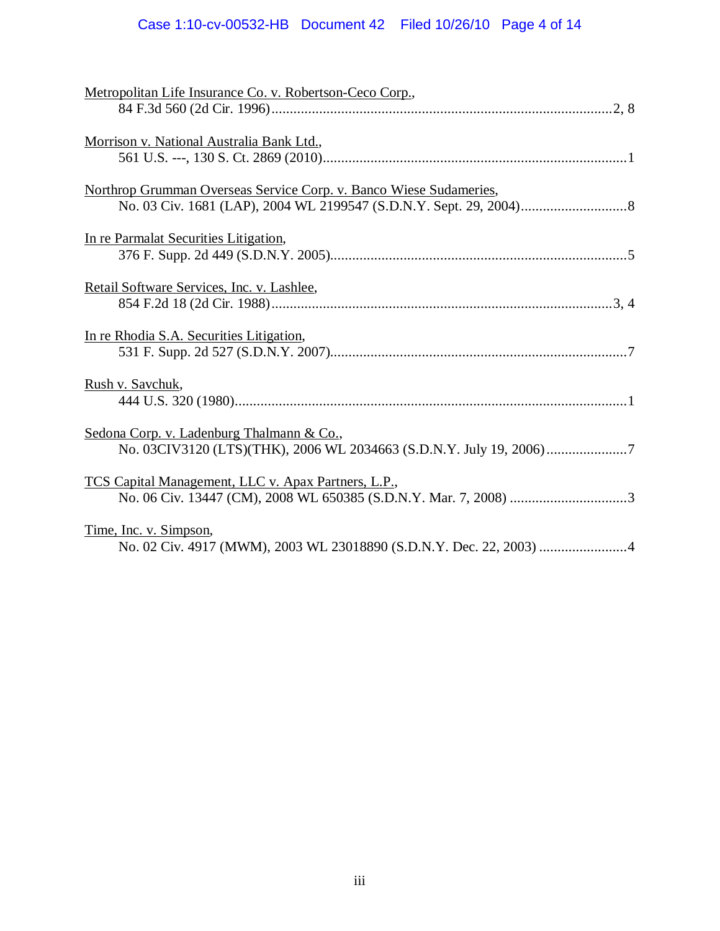| Metropolitan Life Insurance Co. v. Robertson-Ceco Corp.,           |
|--------------------------------------------------------------------|
| Morrison v. National Australia Bank Ltd.,                          |
| Northrop Grumman Overseas Service Corp. v. Banco Wiese Sudameries, |
| In re Parmalat Securities Litigation,                              |
| Retail Software Services, Inc. v. Lashlee,                         |
| In re Rhodia S.A. Securities Litigation,                           |
| Rush v. Savchuk,                                                   |
| Sedona Corp. v. Ladenburg Thalmann & Co.,                          |
| TCS Capital Management, LLC v. Apax Partners, L.P.,                |
| Time, Inc. v. Simpson,                                             |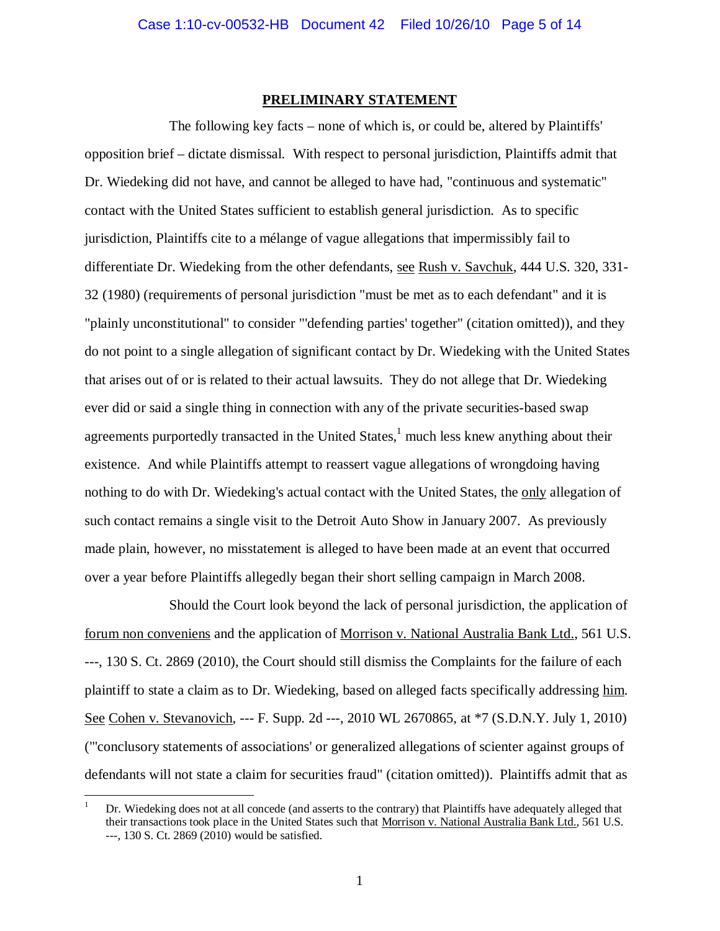#### **PRELIMINARY STATEMENT**

The following key facts – none of which is, or could be, altered by Plaintiffs' opposition brief – dictate dismissal. With respect to personal jurisdiction, Plaintiffs admit that Dr. Wiedeking did not have, and cannot be alleged to have had, "continuous and systematic" contact with the United States sufficient to establish general jurisdiction. As to specific jurisdiction, Plaintiffs cite to a mélange of vague allegations that impermissibly fail to differentiate Dr. Wiedeking from the other defendants, see Rush v. Savchuk, 444 U.S. 320, 331- 32 (1980) (requirements of personal jurisdiction "must be met as to each defendant" and it is "plainly unconstitutional" to consider "'defending parties' together" (citation omitted)), and they do not point to a single allegation of significant contact by Dr. Wiedeking with the United States that arises out of or is related to their actual lawsuits. They do not allege that Dr. Wiedeking ever did or said a single thing in connection with any of the private securities-based swap agreements purportedly transacted in the United States, $<sup>1</sup>$  much less knew anything about their</sup> existence. And while Plaintiffs attempt to reassert vague allegations of wrongdoing having nothing to do with Dr. Wiedeking's actual contact with the United States, the only allegation of such contact remains a single visit to the Detroit Auto Show in January 2007. As previously made plain, however, no misstatement is alleged to have been made at an event that occurred over a year before Plaintiffs allegedly began their short selling campaign in March 2008.

Should the Court look beyond the lack of personal jurisdiction, the application of forum non conveniens and the application of Morrison v. National Australia Bank Ltd., 561 U.S. ---, 130 S. Ct. 2869 (2010), the Court should still dismiss the Complaints for the failure of each plaintiff to state a claim as to Dr. Wiedeking, based on alleged facts specifically addressing him. See Cohen v. Stevanovich, --- F. Supp. 2d ---, 2010 WL 2670865, at \*7 (S.D.N.Y. July 1, 2010) ("'conclusory statements of associations' or generalized allegations of scienter against groups of defendants will not state a claim for securities fraud" (citation omitted)). Plaintiffs admit that as

<sup>1</sup> Dr. Wiedeking does not at all concede (and asserts to the contrary) that Plaintiffs have adequately alleged that their transactions took place in the United States such that Morrison v. National Australia Bank Ltd., 561 U.S. ---, 130 S. Ct. 2869 (2010) would be satisfied.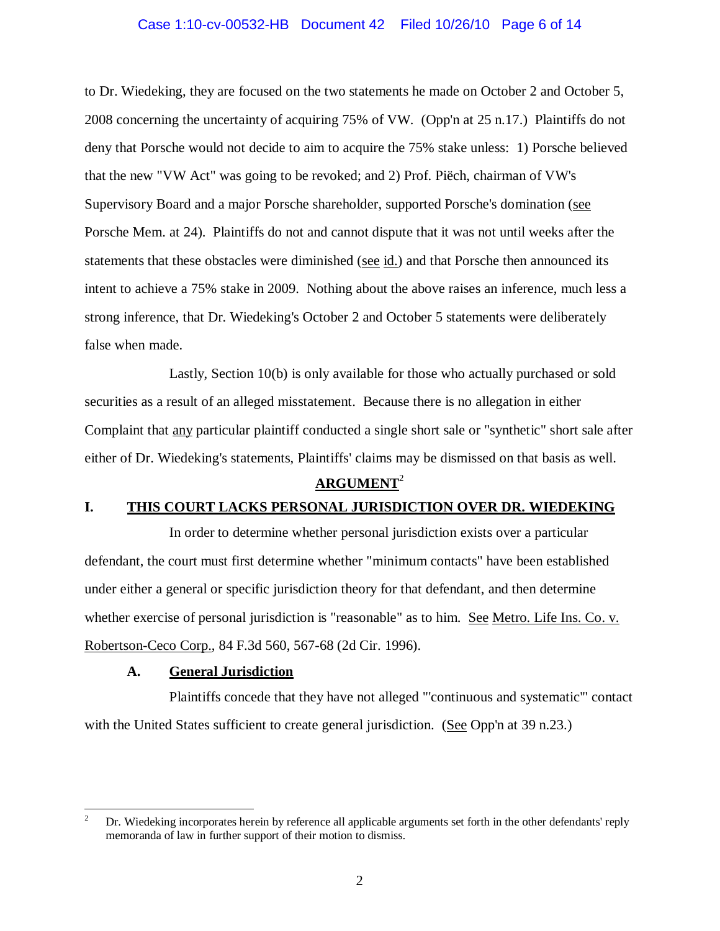#### Case 1:10-cv-00532-HB Document 42 Filed 10/26/10 Page 6 of 14

to Dr. Wiedeking, they are focused on the two statements he made on October 2 and October 5, 2008 concerning the uncertainty of acquiring 75% of VW. (Opp'n at 25 n.17.) Plaintiffs do not deny that Porsche would not decide to aim to acquire the 75% stake unless: 1) Porsche believed that the new "VW Act" was going to be revoked; and 2) Prof. Piëch, chairman of VW's Supervisory Board and a major Porsche shareholder, supported Porsche's domination (see Porsche Mem. at 24). Plaintiffs do not and cannot dispute that it was not until weeks after the statements that these obstacles were diminished (see id.) and that Porsche then announced its intent to achieve a 75% stake in 2009. Nothing about the above raises an inference, much less a strong inference, that Dr. Wiedeking's October 2 and October 5 statements were deliberately false when made.

Lastly, Section 10(b) is only available for those who actually purchased or sold securities as a result of an alleged misstatement. Because there is no allegation in either Complaint that any particular plaintiff conducted a single short sale or "synthetic" short sale after either of Dr. Wiedeking's statements, Plaintiffs' claims may be dismissed on that basis as well.

# **ARGUMENT**<sup>2</sup>

### **I. THIS COURT LACKS PERSONAL JURISDICTION OVER DR. WIEDEKING**

In order to determine whether personal jurisdiction exists over a particular defendant, the court must first determine whether "minimum contacts" have been established under either a general or specific jurisdiction theory for that defendant, and then determine whether exercise of personal jurisdiction is "reasonable" as to him. See Metro. Life Ins. Co. v. Robertson-Ceco Corp., 84 F.3d 560, 567-68 (2d Cir. 1996).

#### **A. General Jurisdiction**

Plaintiffs concede that they have not alleged "'continuous and systematic'" contact with the United States sufficient to create general jurisdiction. (See Opp'n at 39 n.23.)

<sup>&</sup>lt;sup>2</sup> Dr. Wiedeking incorporates herein by reference all applicable arguments set forth in the other defendants' reply memoranda of law in further support of their motion to dismiss.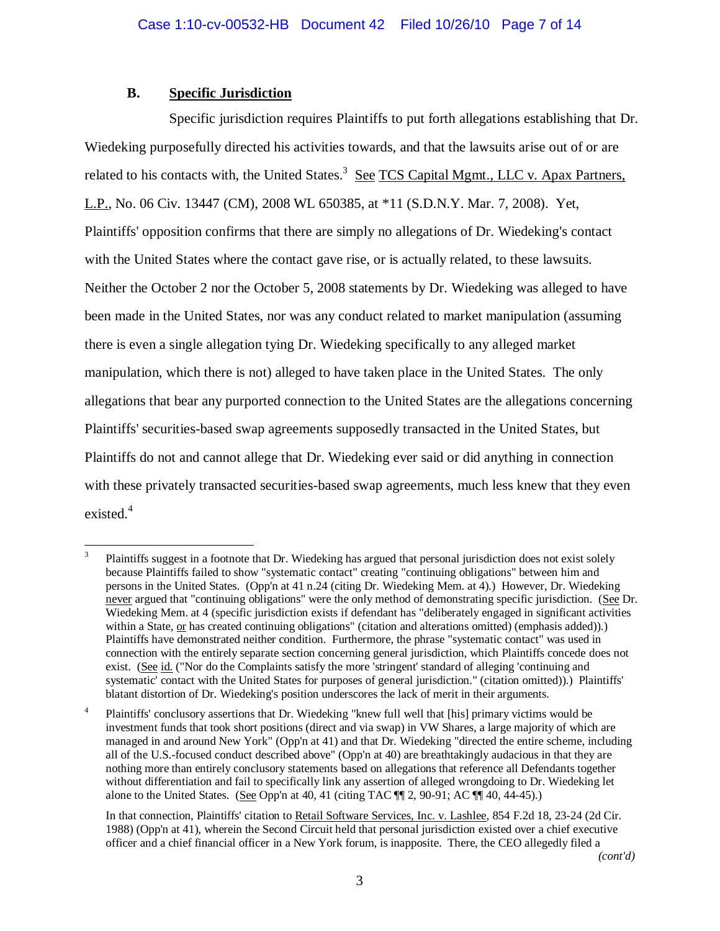# **B. Specific Jurisdiction**

Specific jurisdiction requires Plaintiffs to put forth allegations establishing that Dr. Wiedeking purposefully directed his activities towards, and that the lawsuits arise out of or are related to his contacts with, the United States.<sup>3</sup> See TCS Capital Mgmt., LLC v. Apax Partners, L.P., No. 06 Civ. 13447 (CM), 2008 WL 650385, at \*11 (S.D.N.Y. Mar. 7, 2008). Yet, Plaintiffs' opposition confirms that there are simply no allegations of Dr. Wiedeking's contact with the United States where the contact gave rise, or is actually related, to these lawsuits. Neither the October 2 nor the October 5, 2008 statements by Dr. Wiedeking was alleged to have been made in the United States, nor was any conduct related to market manipulation (assuming there is even a single allegation tying Dr. Wiedeking specifically to any alleged market manipulation, which there is not) alleged to have taken place in the United States. The only allegations that bear any purported connection to the United States are the allegations concerning Plaintiffs' securities-based swap agreements supposedly transacted in the United States, but Plaintiffs do not and cannot allege that Dr. Wiedeking ever said or did anything in connection with these privately transacted securities-based swap agreements, much less knew that they even existed.<sup>4</sup>

*(cont'd)*

<sup>3</sup> Plaintiffs suggest in a footnote that Dr. Wiedeking has argued that personal jurisdiction does not exist solely because Plaintiffs failed to show "systematic contact" creating "continuing obligations" between him and persons in the United States. (Opp'n at 41 n.24 (citing Dr. Wiedeking Mem. at 4).) However, Dr. Wiedeking never argued that "continuing obligations" were the only method of demonstrating specific jurisdiction. (See Dr. Wiedeking Mem. at 4 (specific jurisdiction exists if defendant has "deliberately engaged in significant activities within a State, or has created continuing obligations" (citation and alterations omitted) (emphasis added)).) Plaintiffs have demonstrated neither condition. Furthermore, the phrase "systematic contact" was used in connection with the entirely separate section concerning general jurisdiction, which Plaintiffs concede does not exist. (See id. ("Nor do the Complaints satisfy the more 'stringent' standard of alleging 'continuing and systematic' contact with the United States for purposes of general jurisdiction." (citation omitted)).) Plaintiffs' blatant distortion of Dr. Wiedeking's position underscores the lack of merit in their arguments.

<sup>4</sup> Plaintiffs' conclusory assertions that Dr. Wiedeking "knew full well that [his] primary victims would be investment funds that took short positions (direct and via swap) in VW Shares, a large majority of which are managed in and around New York" (Opp'n at 41) and that Dr. Wiedeking "directed the entire scheme, including all of the U.S.-focused conduct described above" (Opp'n at 40) are breathtakingly audacious in that they are nothing more than entirely conclusory statements based on allegations that reference all Defendants together without differentiation and fail to specifically link any assertion of alleged wrongdoing to Dr. Wiedeking let alone to the United States. (See Opp'n at 40, 41 (citing TAC ¶ 2, 90-91; AC ¶ 40, 44-45).)

In that connection, Plaintiffs' citation to Retail Software Services, Inc. v. Lashlee, 854 F.2d 18, 23-24 (2d Cir. 1988) (Opp'n at 41), wherein the Second Circuit held that personal jurisdiction existed over a chief executive officer and a chief financial officer in a New York forum, is inapposite. There, the CEO allegedly filed a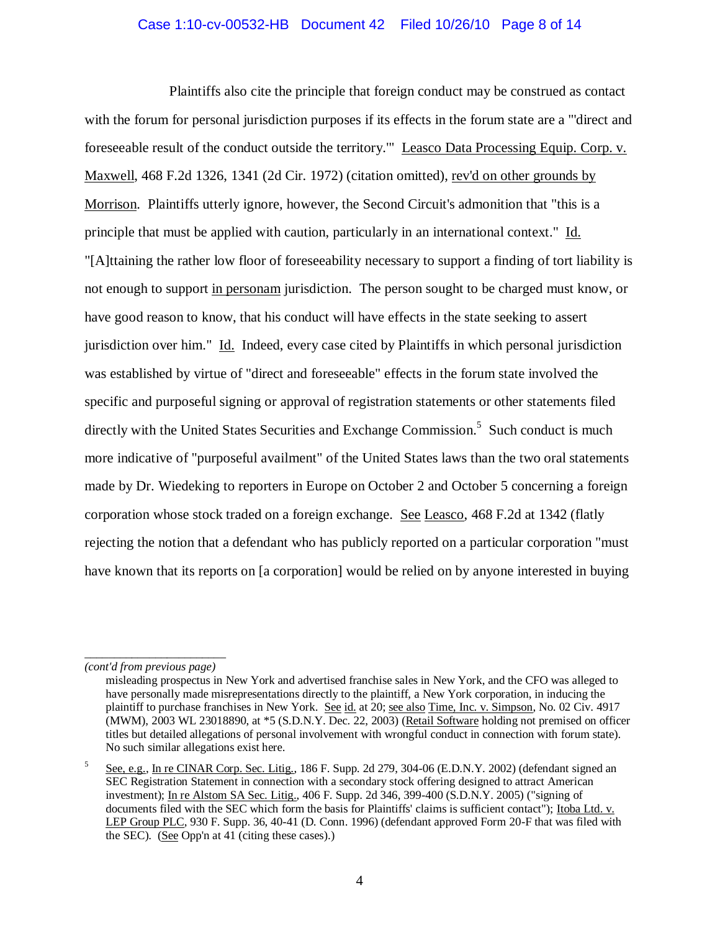#### Case 1:10-cv-00532-HB Document 42 Filed 10/26/10 Page 8 of 14

Plaintiffs also cite the principle that foreign conduct may be construed as contact with the forum for personal jurisdiction purposes if its effects in the forum state are a "'direct and foreseeable result of the conduct outside the territory.'" Leasco Data Processing Equip. Corp. v. Maxwell, 468 F.2d 1326, 1341 (2d Cir. 1972) (citation omitted), rev'd on other grounds by Morrison. Plaintiffs utterly ignore, however, the Second Circuit's admonition that "this is a principle that must be applied with caution, particularly in an international context." Id. "[A]ttaining the rather low floor of foreseeability necessary to support a finding of tort liability is not enough to support in personam jurisdiction. The person sought to be charged must know, or have good reason to know, that his conduct will have effects in the state seeking to assert jurisdiction over him." Id. Indeed, every case cited by Plaintiffs in which personal jurisdiction was established by virtue of "direct and foreseeable" effects in the forum state involved the specific and purposeful signing or approval of registration statements or other statements filed directly with the United States Securities and Exchange Commission.<sup>5</sup> Such conduct is much more indicative of "purposeful availment" of the United States laws than the two oral statements made by Dr. Wiedeking to reporters in Europe on October 2 and October 5 concerning a foreign corporation whose stock traded on a foreign exchange. See Leasco, 468 F.2d at 1342 (flatly rejecting the notion that a defendant who has publicly reported on a particular corporation "must have known that its reports on [a corporation] would be relied on by anyone interested in buying

*\_\_\_\_\_\_\_\_\_\_\_\_\_\_\_\_\_\_\_\_\_\_\_\_ (cont'd from previous page)*

misleading prospectus in New York and advertised franchise sales in New York, and the CFO was alleged to have personally made misrepresentations directly to the plaintiff, a New York corporation, in inducing the plaintiff to purchase franchises in New York. See id. at 20; see also Time, Inc. v. Simpson, No. 02 Civ. 4917 (MWM), 2003 WL 23018890, at \*5 (S.D.N.Y. Dec. 22, 2003) (Retail Software holding not premised on officer titles but detailed allegations of personal involvement with wrongful conduct in connection with forum state). No such similar allegations exist here.

<sup>5</sup> See, e.g., In re CINAR Corp. Sec. Litig., 186 F. Supp. 2d 279, 304-06 (E.D.N.Y. 2002) (defendant signed an SEC Registration Statement in connection with a secondary stock offering designed to attract American investment); In re Alstom SA Sec. Litig., 406 F. Supp. 2d 346, 399-400 (S.D.N.Y. 2005) ("signing of documents filed with the SEC which form the basis for Plaintiffs' claims is sufficient contact"); Itoba Ltd. v. LEP Group PLC, 930 F. Supp. 36, 40-41 (D. Conn. 1996) (defendant approved Form 20-F that was filed with the SEC). (See Opp'n at 41 (citing these cases).)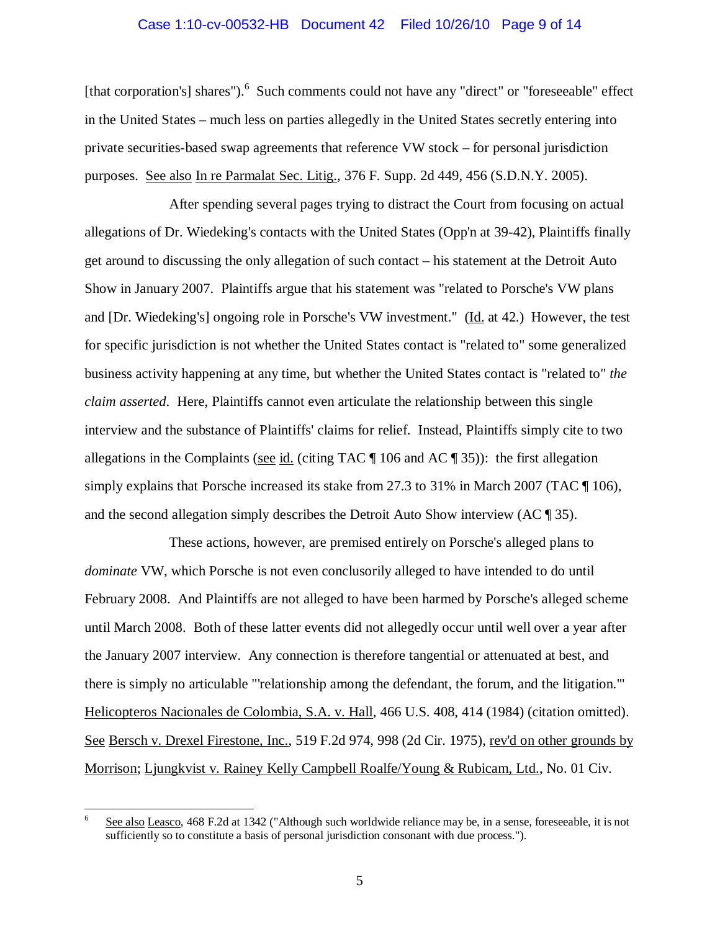#### Case 1:10-cv-00532-HB Document 42 Filed 10/26/10 Page 9 of 14

[that corporation's] shares"). <sup>6</sup> Such comments could not have any "direct" or "foreseeable" effect in the United States – much less on parties allegedly in the United States secretly entering into private securities-based swap agreements that reference VW stock – for personal jurisdiction purposes. See also In re Parmalat Sec. Litig., 376 F. Supp. 2d 449, 456 (S.D.N.Y. 2005).

After spending several pages trying to distract the Court from focusing on actual allegations of Dr. Wiedeking's contacts with the United States (Opp'n at 39-42), Plaintiffs finally get around to discussing the only allegation of such contact – his statement at the Detroit Auto Show in January 2007. Plaintiffs argue that his statement was "related to Porsche's VW plans and [Dr. Wiedeking's] ongoing role in Porsche's VW investment." (Id. at 42.) However, the test for specific jurisdiction is not whether the United States contact is "related to" some generalized business activity happening at any time, but whether the United States contact is "related to" *the claim asserted*. Here, Plaintiffs cannot even articulate the relationship between this single interview and the substance of Plaintiffs' claims for relief. Instead, Plaintiffs simply cite to two allegations in the Complaints (see id. (citing TAC  $\P$  106 and AC  $\P$  35)): the first allegation simply explains that Porsche increased its stake from 27.3 to 31% in March 2007 (TAC ¶ 106), and the second allegation simply describes the Detroit Auto Show interview (AC ¶ 35).

These actions, however, are premised entirely on Porsche's alleged plans to *dominate* VW, which Porsche is not even conclusorily alleged to have intended to do until February 2008. And Plaintiffs are not alleged to have been harmed by Porsche's alleged scheme until March 2008. Both of these latter events did not allegedly occur until well over a year after the January 2007 interview. Any connection is therefore tangential or attenuated at best, and there is simply no articulable "'relationship among the defendant, the forum, and the litigation.'" Helicopteros Nacionales de Colombia, S.A. v. Hall, 466 U.S. 408, 414 (1984) (citation omitted). See Bersch v. Drexel Firestone, Inc., 519 F.2d 974, 998 (2d Cir. 1975), rev'd on other grounds by Morrison; Ljungkvist v. Rainey Kelly Campbell Roalfe/Young & Rubicam, Ltd., No. 01 Civ.

<sup>6</sup> See also Leasco, 468 F.2d at 1342 ("Although such worldwide reliance may be, in a sense, foreseeable, it is not sufficiently so to constitute a basis of personal jurisdiction consonant with due process.").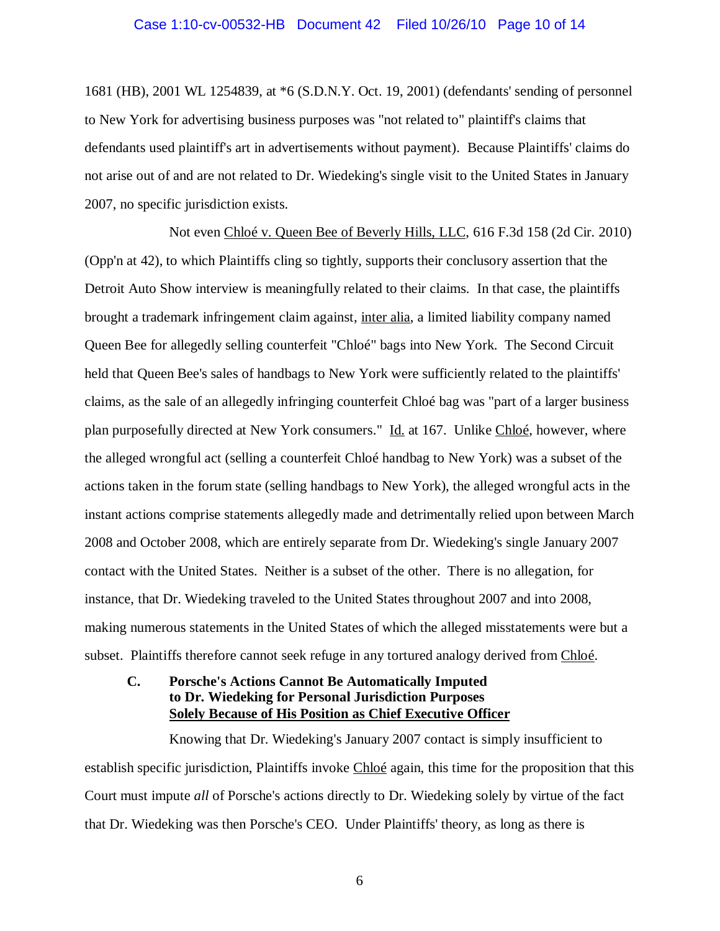#### Case 1:10-cv-00532-HB Document 42 Filed 10/26/10 Page 10 of 14

1681 (HB), 2001 WL 1254839, at \*6 (S.D.N.Y. Oct. 19, 2001) (defendants' sending of personnel to New York for advertising business purposes was "not related to" plaintiff's claims that defendants used plaintiff's art in advertisements without payment). Because Plaintiffs' claims do not arise out of and are not related to Dr. Wiedeking's single visit to the United States in January 2007, no specific jurisdiction exists.

Not even Chloé v. Queen Bee of Beverly Hills, LLC, 616 F.3d 158 (2d Cir. 2010) (Opp'n at 42), to which Plaintiffs cling so tightly, supports their conclusory assertion that the Detroit Auto Show interview is meaningfully related to their claims. In that case, the plaintiffs brought a trademark infringement claim against, inter alia, a limited liability company named Queen Bee for allegedly selling counterfeit "Chloé" bags into New York. The Second Circuit held that Queen Bee's sales of handbags to New York were sufficiently related to the plaintiffs' claims, as the sale of an allegedly infringing counterfeit Chloé bag was "part of a larger business plan purposefully directed at New York consumers." Id. at 167. Unlike Chloé, however, where the alleged wrongful act (selling a counterfeit Chloé handbag to New York) was a subset of the actions taken in the forum state (selling handbags to New York), the alleged wrongful acts in the instant actions comprise statements allegedly made and detrimentally relied upon between March 2008 and October 2008, which are entirely separate from Dr. Wiedeking's single January 2007 contact with the United States. Neither is a subset of the other. There is no allegation, for instance, that Dr. Wiedeking traveled to the United States throughout 2007 and into 2008, making numerous statements in the United States of which the alleged misstatements were but a subset. Plaintiffs therefore cannot seek refuge in any tortured analogy derived from Chloé.

# **C. Porsche's Actions Cannot Be Automatically Imputed to Dr. Wiedeking for Personal Jurisdiction Purposes Solely Because of His Position as Chief Executive Officer**

Knowing that Dr. Wiedeking's January 2007 contact is simply insufficient to establish specific jurisdiction, Plaintiffs invoke Chloé again, this time for the proposition that this Court must impute *all* of Porsche's actions directly to Dr. Wiedeking solely by virtue of the fact that Dr. Wiedeking was then Porsche's CEO. Under Plaintiffs' theory, as long as there is

6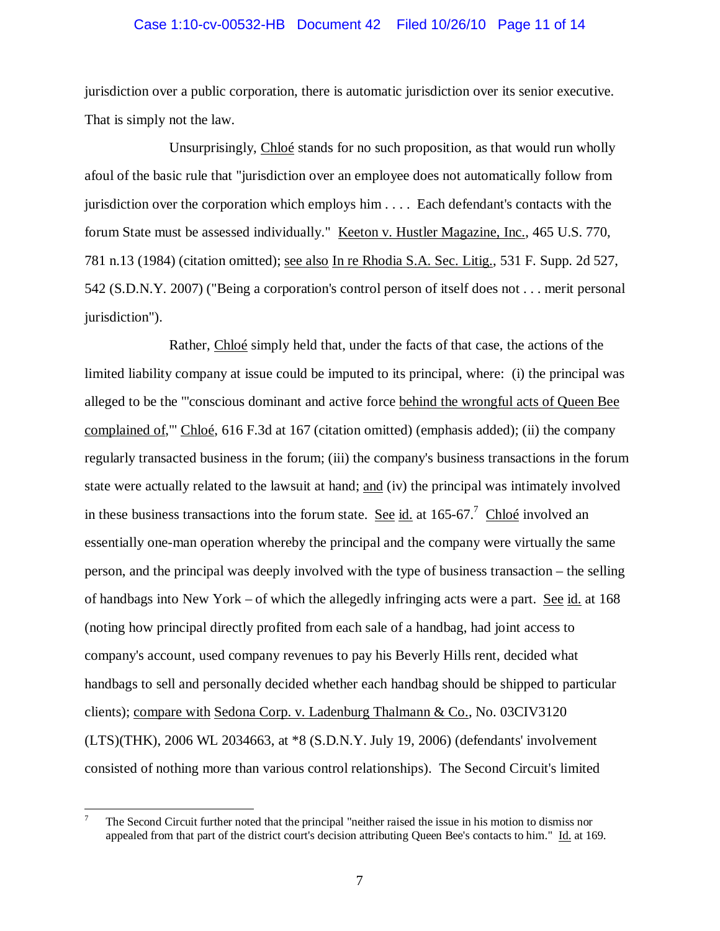#### Case 1:10-cv-00532-HB Document 42 Filed 10/26/10 Page 11 of 14

jurisdiction over a public corporation, there is automatic jurisdiction over its senior executive. That is simply not the law.

Unsurprisingly, Chloé stands for no such proposition, as that would run wholly afoul of the basic rule that "jurisdiction over an employee does not automatically follow from jurisdiction over the corporation which employs him . . . . Each defendant's contacts with the forum State must be assessed individually." Keeton v. Hustler Magazine, Inc., 465 U.S. 770, 781 n.13 (1984) (citation omitted); see also In re Rhodia S.A. Sec. Litig., 531 F. Supp. 2d 527, 542 (S.D.N.Y. 2007) ("Being a corporation's control person of itself does not . . . merit personal jurisdiction").

Rather, Chloé simply held that, under the facts of that case, the actions of the limited liability company at issue could be imputed to its principal, where: (i) the principal was alleged to be the "'conscious dominant and active force behind the wrongful acts of Queen Bee complained of,'" Chloé, 616 F.3d at 167 (citation omitted) (emphasis added); (ii) the company regularly transacted business in the forum; (iii) the company's business transactions in the forum state were actually related to the lawsuit at hand; and (iv) the principal was intimately involved in these business transactions into the forum state. See  $id$  at 165-67.<sup>7</sup> Chloé involved an essentially one-man operation whereby the principal and the company were virtually the same person, and the principal was deeply involved with the type of business transaction – the selling of handbags into New York – of which the allegedly infringing acts were a part. See id. at 168 (noting how principal directly profited from each sale of a handbag, had joint access to company's account, used company revenues to pay his Beverly Hills rent, decided what handbags to sell and personally decided whether each handbag should be shipped to particular clients); compare with Sedona Corp. v. Ladenburg Thalmann & Co., No. 03CIV3120 (LTS)(THK), 2006 WL 2034663, at \*8 (S.D.N.Y. July 19, 2006) (defendants' involvement consisted of nothing more than various control relationships). The Second Circuit's limited

<sup>7</sup> The Second Circuit further noted that the principal "neither raised the issue in his motion to dismiss nor appealed from that part of the district court's decision attributing Queen Bee's contacts to him." Id. at 169.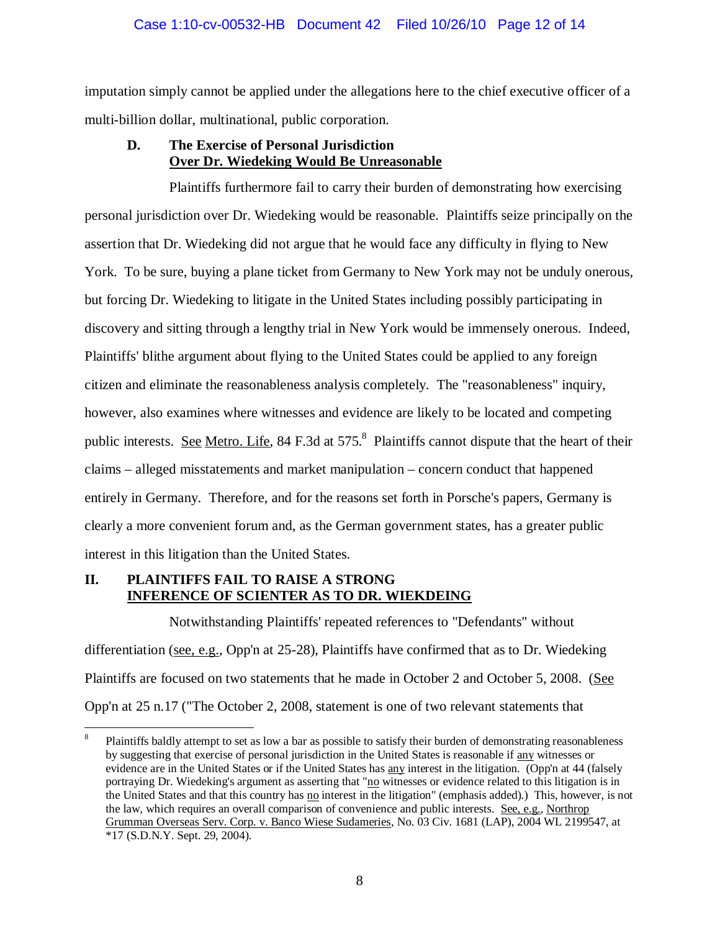# Case 1:10-cv-00532-HB Document 42 Filed 10/26/10 Page 12 of 14

imputation simply cannot be applied under the allegations here to the chief executive officer of a multi-billion dollar, multinational, public corporation.

# **D. The Exercise of Personal Jurisdiction Over Dr. Wiedeking Would Be Unreasonable**

Plaintiffs furthermore fail to carry their burden of demonstrating how exercising personal jurisdiction over Dr. Wiedeking would be reasonable. Plaintiffs seize principally on the assertion that Dr. Wiedeking did not argue that he would face any difficulty in flying to New York. To be sure, buying a plane ticket from Germany to New York may not be unduly onerous, but forcing Dr. Wiedeking to litigate in the United States including possibly participating in discovery and sitting through a lengthy trial in New York would be immensely onerous. Indeed, Plaintiffs' blithe argument about flying to the United States could be applied to any foreign citizen and eliminate the reasonableness analysis completely. The "reasonableness" inquiry, however, also examines where witnesses and evidence are likely to be located and competing public interests. See Metro. Life, 84 F.3d at 575.<sup>8</sup> Plaintiffs cannot dispute that the heart of their claims – alleged misstatements and market manipulation – concern conduct that happened entirely in Germany. Therefore, and for the reasons set forth in Porsche's papers, Germany is clearly a more convenient forum and, as the German government states, has a greater public interest in this litigation than the United States.

### **II. PLAINTIFFS FAIL TO RAISE A STRONG INFERENCE OF SCIENTER AS TO DR. WIEKDEING**

Notwithstanding Plaintiffs' repeated references to "Defendants" without differentiation (see, e.g., Opp'n at 25-28), Plaintiffs have confirmed that as to Dr. Wiedeking Plaintiffs are focused on two statements that he made in October 2 and October 5, 2008. (See Opp'n at 25 n.17 ("The October 2, 2008, statement is one of two relevant statements that

<sup>8</sup> Plaintiffs baldly attempt to set as low a bar as possible to satisfy their burden of demonstrating reasonableness by suggesting that exercise of personal jurisdiction in the United States is reasonable if any witnesses or evidence are in the United States or if the United States has any interest in the litigation. (Opp'n at 44 (falsely portraying Dr. Wiedeking's argument as asserting that "no witnesses or evidence related to this litigation is in the United States and that this country has no interest in the litigation" (emphasis added).) This, however, is not the law, which requires an overall comparison of convenience and public interests. See, e.g., Northrop Grumman Overseas Serv. Corp. v. Banco Wiese Sudameries, No. 03 Civ. 1681 (LAP), 2004 WL 2199547, at \*17 (S.D.N.Y. Sept. 29, 2004).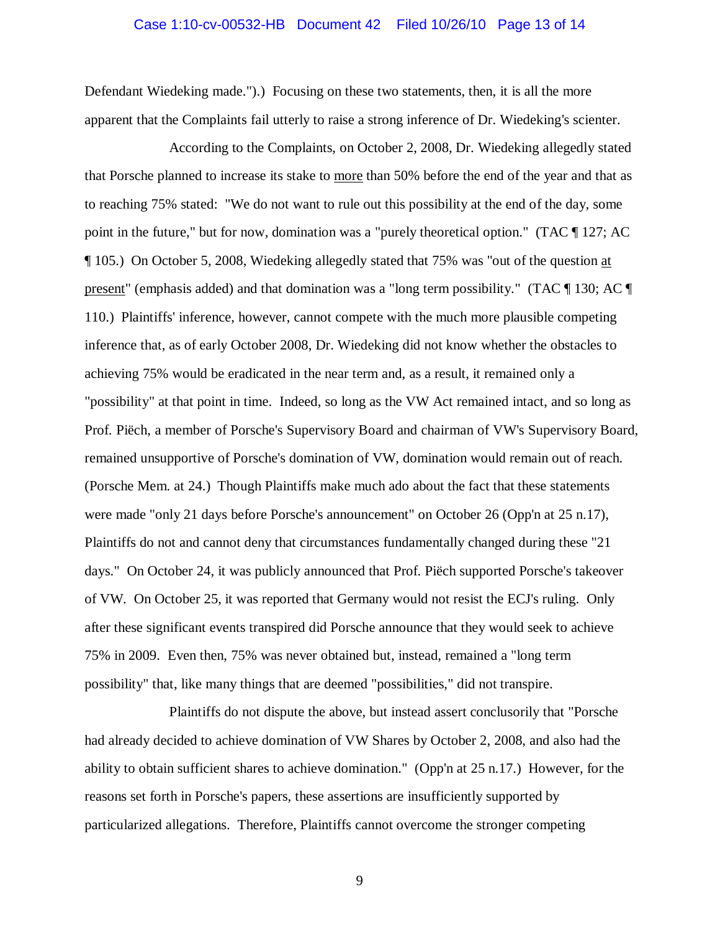#### Case 1:10-cv-00532-HB Document 42 Filed 10/26/10 Page 13 of 14

Defendant Wiedeking made.").) Focusing on these two statements, then, it is all the more apparent that the Complaints fail utterly to raise a strong inference of Dr. Wiedeking's scienter.

According to the Complaints, on October 2, 2008, Dr. Wiedeking allegedly stated that Porsche planned to increase its stake to more than 50% before the end of the year and that as to reaching 75% stated: "We do not want to rule out this possibility at the end of the day, some point in the future," but for now, domination was a "purely theoretical option." (TAC ¶ 127; AC ¶ 105.) On October 5, 2008, Wiedeking allegedly stated that 75% was "out of the question at present" (emphasis added) and that domination was a "long term possibility." (TAC ¶ 130; AC ¶ 110.) Plaintiffs' inference, however, cannot compete with the much more plausible competing inference that, as of early October 2008, Dr. Wiedeking did not know whether the obstacles to achieving 75% would be eradicated in the near term and, as a result, it remained only a "possibility" at that point in time. Indeed, so long as the VW Act remained intact, and so long as Prof. Piëch, a member of Porsche's Supervisory Board and chairman of VW's Supervisory Board, remained unsupportive of Porsche's domination of VW, domination would remain out of reach. (Porsche Mem. at 24.) Though Plaintiffs make much ado about the fact that these statements were made "only 21 days before Porsche's announcement" on October 26 (Opp'n at 25 n.17), Plaintiffs do not and cannot deny that circumstances fundamentally changed during these "21 days." On October 24, it was publicly announced that Prof. Piëch supported Porsche's takeover of VW. On October 25, it was reported that Germany would not resist the ECJ's ruling. Only after these significant events transpired did Porsche announce that they would seek to achieve 75% in 2009. Even then, 75% was never obtained but, instead, remained a "long term possibility" that, like many things that are deemed "possibilities," did not transpire.

Plaintiffs do not dispute the above, but instead assert conclusorily that "Porsche had already decided to achieve domination of VW Shares by October 2, 2008, and also had the ability to obtain sufficient shares to achieve domination." (Opp'n at 25 n.17.) However, for the reasons set forth in Porsche's papers, these assertions are insufficiently supported by particularized allegations. Therefore, Plaintiffs cannot overcome the stronger competing

9